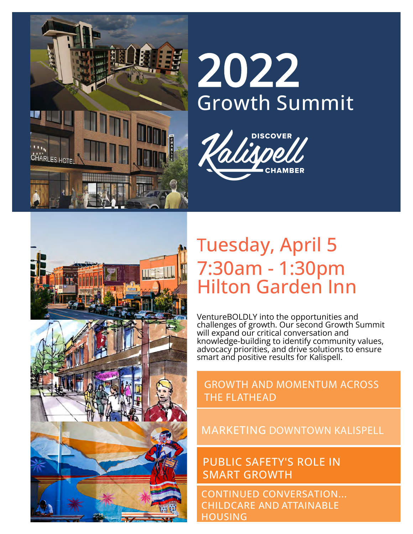

# 2022 Growth Summit





## Tuesday, April 5 7:30am - 1:30pm Hilton Garden Inn

VentureBOLDLY into the opportunities and challenges of growth. Our second Growth Summit will expand our critical conversation and knowledge-building to identify community values, advocacy priorities, and drive solutions to ensure smart and positive results for Kalispell.

#### GROWTH AND MOMENTUM ACROSS THE FLATHEAD

#### MARKETING DOWNTOWN KALISPELL

PUBLIC SAFETY'S ROLE IN SMART GROWTH

CONTINUED CONVERSATION... CHILDCARE AND ATTAINABLE **HOUSING**